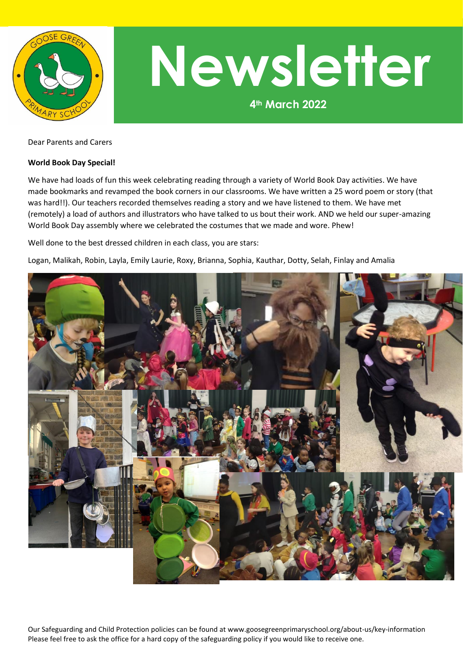

## **4th March 2022 Newsletter**

Dear Parents and Carers

## **World Book Day Special!**

We have had loads of fun this week celebrating reading through a variety of World Book Day activities. We have made bookmarks and revamped the book corners in our classrooms. We have written a 25 word poem or story (that was hard!!). Our teachers recorded themselves reading a story and we have listened to them. We have met (remotely) a load of authors and illustrators who have talked to us bout their work. AND we held our super-amazing World Book Day assembly where we celebrated the costumes that we made and wore. Phew!

Well done to the best dressed children in each class, you are stars:

Logan, Malikah, Robin, Layla, Emily Laurie, Roxy, Brianna, Sophia, Kauthar, Dotty, Selah, Finlay and Amalia



Our Safeguarding and Child Protection policies can be found at www.goosegreenprimaryschool.org/about-us/key-information Please feel free to ask the office for a hard copy of the safeguarding policy if you would like to receive one.